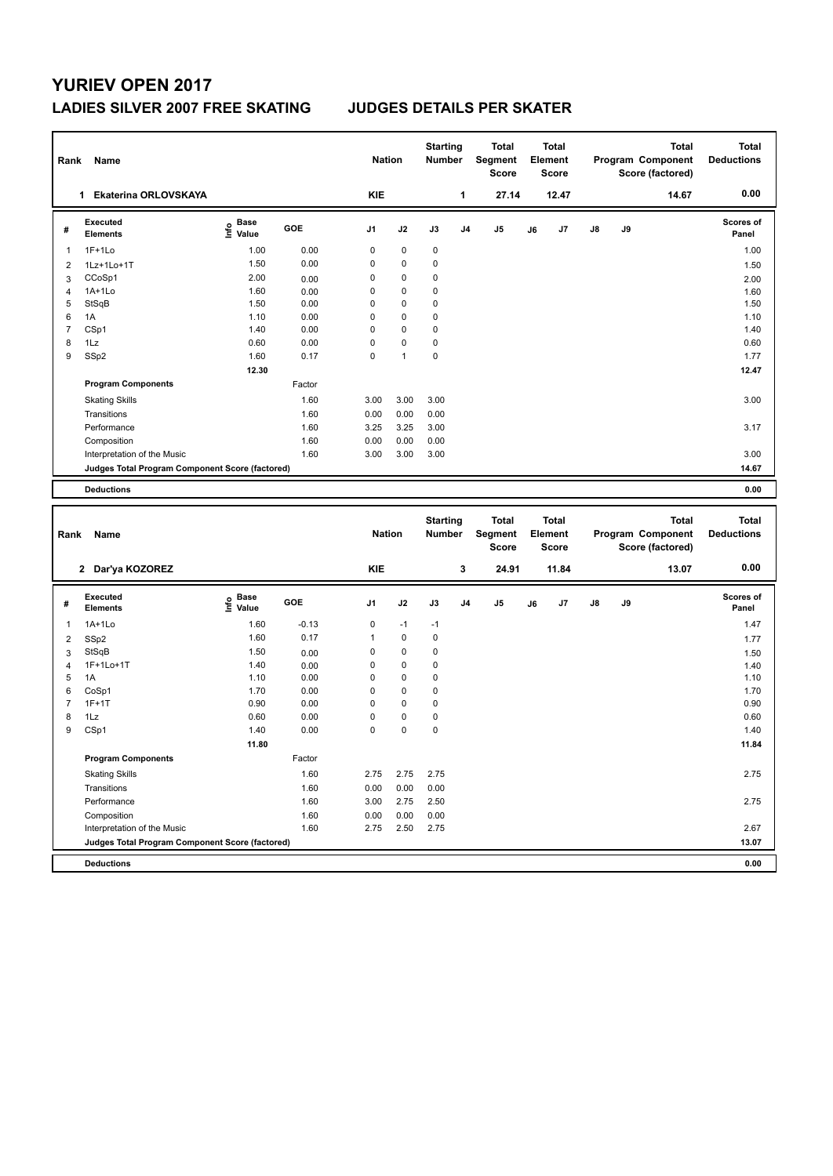## **YURIEV OPEN 2017 LADIES SILVER 2007 FREE SKATING JUDGES DETAILS PER SKATER**

| Rank                | Name                                            |                                         |              | <b>Nation</b>              |              | <b>Starting</b><br>Number |                | <b>Total</b><br>Segment<br><b>Score</b> |    | <b>Total</b><br>Element<br><b>Score</b> |               |    | <b>Total</b><br>Program Component<br>Score (factored) | <b>Total</b><br><b>Deductions</b> |
|---------------------|-------------------------------------------------|-----------------------------------------|--------------|----------------------------|--------------|---------------------------|----------------|-----------------------------------------|----|-----------------------------------------|---------------|----|-------------------------------------------------------|-----------------------------------|
|                     | 1 Ekaterina ORLOVSKAYA                          |                                         |              | <b>KIE</b>                 |              |                           | $\mathbf{1}$   | 27.14                                   |    | 12.47                                   |               |    | 14.67                                                 | 0.00                              |
| #                   | <b>Executed</b><br><b>Elements</b>              | $\mathbf{e}$ Base<br>$\mathbf{e}$ Value | GOE          | J1                         | J2           | J3                        | J <sub>4</sub> | J <sub>5</sub>                          | J6 | J7                                      | $\mathsf{J}8$ | J9 |                                                       | Scores of<br>Panel                |
| 1                   | $1F+1Lo$                                        | 1.00                                    | 0.00         | $\mathbf 0$                | 0            | 0                         |                |                                         |    |                                         |               |    |                                                       | 1.00                              |
| $\overline{2}$      | 1Lz+1Lo+1T                                      | 1.50                                    | 0.00         | 0                          | 0            | 0                         |                |                                         |    |                                         |               |    |                                                       | 1.50                              |
| 3                   | CCoSp1                                          | 2.00                                    | 0.00         | $\mathbf 0$                | 0            | $\mathbf 0$               |                |                                         |    |                                         |               |    |                                                       | 2.00                              |
| $\overline{4}$      | 1A+1Lo                                          | 1.60                                    | 0.00         | $\mathbf 0$                | 0            | 0                         |                |                                         |    |                                         |               |    |                                                       | 1.60                              |
| 5                   | StSqB                                           | 1.50                                    | 0.00         | $\mathbf 0$                | 0            | 0                         |                |                                         |    |                                         |               |    |                                                       | 1.50                              |
| 6                   | 1A                                              | 1.10                                    | 0.00         | $\mathbf 0$                | 0            | $\mathbf 0$               |                |                                         |    |                                         |               |    |                                                       | 1.10                              |
| $\overline{7}$      | CSp1                                            | 1.40                                    | 0.00         | $\mathbf 0$                | $\mathbf 0$  | $\mathbf 0$               |                |                                         |    |                                         |               |    |                                                       | 1.40                              |
| 8                   | 1Lz                                             | 0.60                                    | 0.00         | 0                          | 0            | 0                         |                |                                         |    |                                         |               |    |                                                       | 0.60                              |
| 9                   | SSp2                                            | 1.60                                    | 0.17         | $\mathbf 0$                | $\mathbf{1}$ | $\mathbf 0$               |                |                                         |    |                                         |               |    |                                                       | 1.77                              |
|                     |                                                 | 12.30                                   |              |                            |              |                           |                |                                         |    |                                         |               |    |                                                       | 12.47                             |
|                     | <b>Program Components</b>                       |                                         | Factor       |                            |              |                           |                |                                         |    |                                         |               |    |                                                       |                                   |
|                     | <b>Skating Skills</b>                           |                                         | 1.60         | 3.00                       | 3.00         | 3.00                      |                |                                         |    |                                         |               |    |                                                       | 3.00                              |
|                     | Transitions                                     |                                         | 1.60         | 0.00                       | 0.00         | 0.00                      |                |                                         |    |                                         |               |    |                                                       |                                   |
|                     | Performance                                     |                                         | 1.60         | 3.25                       | 3.25         | 3.00                      |                |                                         |    |                                         |               |    |                                                       | 3.17                              |
|                     | Composition                                     |                                         | 1.60         | 0.00                       | 0.00         | 0.00                      |                |                                         |    |                                         |               |    |                                                       |                                   |
|                     | Interpretation of the Music                     |                                         | 1.60         | 3.00                       | 3.00         | 3.00                      |                |                                         |    |                                         |               |    |                                                       | 3.00                              |
|                     | Judges Total Program Component Score (factored) |                                         |              |                            |              |                           |                |                                         |    |                                         |               |    |                                                       | 14.67                             |
|                     |                                                 |                                         |              |                            |              |                           |                |                                         |    |                                         |               |    |                                                       |                                   |
|                     | <b>Deductions</b>                               |                                         |              |                            |              |                           |                |                                         |    |                                         |               |    |                                                       | 0.00                              |
|                     |                                                 |                                         |              |                            |              |                           |                |                                         |    |                                         |               |    |                                                       |                                   |
|                     |                                                 |                                         |              |                            |              |                           |                |                                         |    |                                         |               |    |                                                       |                                   |
| Rank                | Name                                            |                                         |              | <b>Nation</b>              |              | <b>Starting</b><br>Number |                | <b>Total</b><br>Segment<br><b>Score</b> |    | <b>Total</b><br>Element<br><b>Score</b> |               |    | <b>Total</b><br>Program Component<br>Score (factored) | <b>Total</b><br><b>Deductions</b> |
|                     | 2 Dar'ya KOZOREZ                                |                                         |              | <b>KIE</b>                 |              |                           | 3              | 24.91                                   |    | 11.84                                   |               |    | 13.07                                                 | 0.00                              |
|                     |                                                 |                                         |              |                            |              |                           |                |                                         |    |                                         |               |    |                                                       |                                   |
| #                   | Executed<br><b>Elements</b>                     | e Base<br>E Value                       | GOE          | J1                         | J2           | J3                        | J <sub>4</sub> | J <sub>5</sub>                          | J6 | J7                                      | J8            | J9 |                                                       | Scores of<br>Panel                |
|                     |                                                 |                                         |              |                            |              |                           |                |                                         |    |                                         |               |    |                                                       |                                   |
| 1                   | $1A+1Lo$                                        | 1.60                                    | $-0.13$      | $\mathbf 0$                | $-1$         | $-1$                      |                |                                         |    |                                         |               |    |                                                       | 1.47                              |
| $\overline{2}$      | SSp2                                            | 1.60                                    | 0.17         | $\mathbf{1}$               | 0            | 0                         |                |                                         |    |                                         |               |    |                                                       | 1.77                              |
| 3                   | StSqB                                           | 1.50                                    | 0.00         | $\mathbf 0$                | 0            | 0                         |                |                                         |    |                                         |               |    |                                                       | 1.50                              |
| $\overline{4}$      | 1F+1Lo+1T                                       | 1.40                                    | 0.00         | 0                          | 0            | 0                         |                |                                         |    |                                         |               |    |                                                       | 1.40                              |
| 5                   | 1A                                              | 1.10                                    | 0.00         | $\mathbf 0$<br>$\mathbf 0$ | 0<br>0       | $\mathbf 0$<br>0          |                |                                         |    |                                         |               |    |                                                       | 1.10                              |
| 6<br>$\overline{7}$ | CoSp1                                           | 1.70                                    | 0.00         |                            |              |                           |                |                                         |    |                                         |               |    |                                                       | 1.70                              |
|                     | $1F+1T$                                         | 0.90                                    | 0.00         | $\mathbf 0$                | $\mathbf 0$  | $\mathbf 0$               |                |                                         |    |                                         |               |    |                                                       | 0.90                              |
| 8<br>9              | 1Lz                                             | 0.60<br>1.40                            | 0.00<br>0.00 | $\mathbf 0$<br>$\mathbf 0$ | 0<br>0       | $\mathbf 0$<br>0          |                |                                         |    |                                         |               |    |                                                       | 0.60<br>1.40                      |
|                     | CSp1                                            |                                         |              |                            |              |                           |                |                                         |    |                                         |               |    |                                                       |                                   |
|                     | <b>Program Components</b>                       | 11.80                                   | Factor       |                            |              |                           |                |                                         |    |                                         |               |    |                                                       | 11.84                             |
|                     | <b>Skating Skills</b>                           |                                         | 1.60         | 2.75                       | 2.75         | 2.75                      |                |                                         |    |                                         |               |    |                                                       | 2.75                              |
|                     | Transitions                                     |                                         | 1.60         | 0.00                       | 0.00         | 0.00                      |                |                                         |    |                                         |               |    |                                                       |                                   |
|                     | Performance                                     |                                         | 1.60         | 3.00                       | 2.75         | 2.50                      |                |                                         |    |                                         |               |    |                                                       | 2.75                              |
|                     | Composition                                     |                                         | 1.60         | 0.00                       | 0.00         | 0.00                      |                |                                         |    |                                         |               |    |                                                       |                                   |
|                     | Interpretation of the Music                     |                                         | 1.60         | 2.75                       | 2.50         | 2.75                      |                |                                         |    |                                         |               |    |                                                       | 2.67                              |

**Deductions 0.00**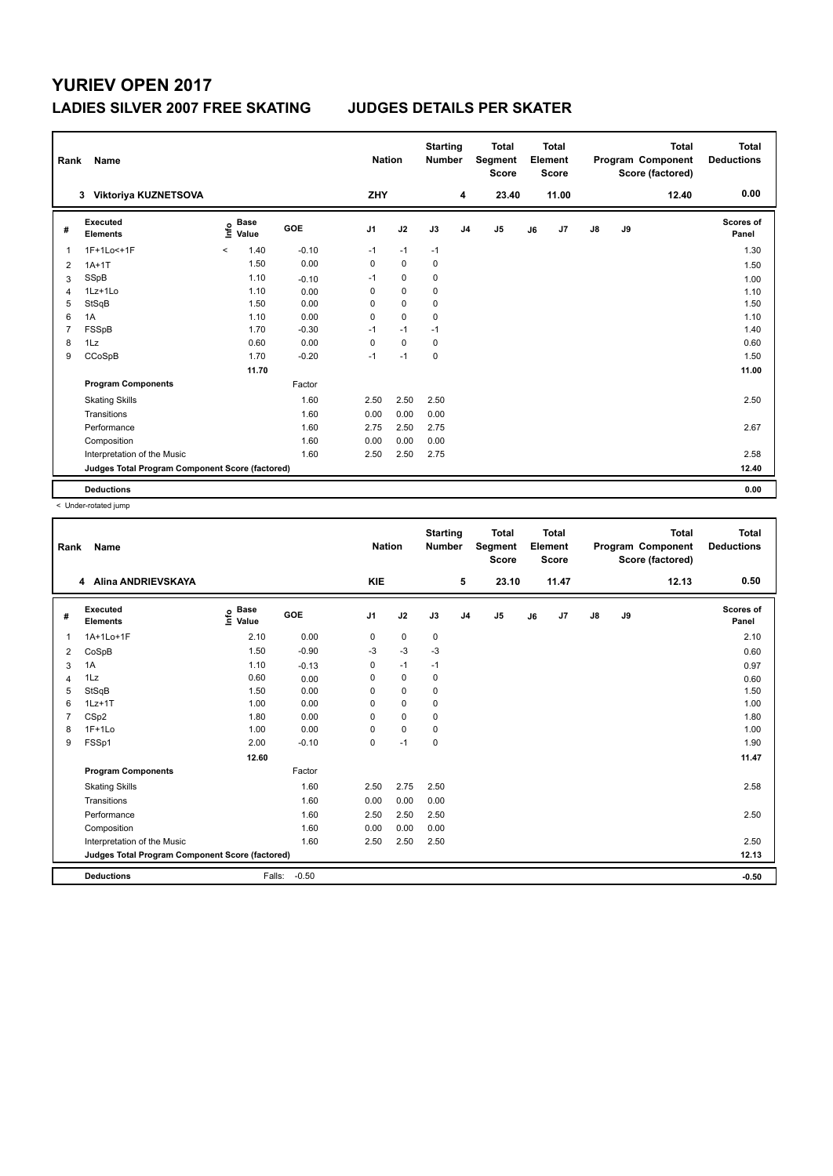## **YURIEV OPEN 2017 LADIES SILVER 2007 FREE SKATING JUDGES DETAILS PER SKATER**

| Rank           | Name                                            |                       |         | <b>Nation</b>  |             | <b>Starting</b><br><b>Number</b> |                | <b>Total</b><br>Segment<br><b>Score</b> |    | <b>Total</b><br>Element<br><b>Score</b> |               |    | <b>Total</b><br>Program Component<br>Score (factored) | <b>Total</b><br><b>Deductions</b> |
|----------------|-------------------------------------------------|-----------------------|---------|----------------|-------------|----------------------------------|----------------|-----------------------------------------|----|-----------------------------------------|---------------|----|-------------------------------------------------------|-----------------------------------|
|                | Viktoriya KUZNETSOVA<br>3                       |                       |         | ZHY            |             |                                  | 4              | 23.40                                   |    | 11.00                                   |               |    | 12.40                                                 | 0.00                              |
| #              | Executed<br><b>Elements</b>                     | Base<br>lnfo<br>Value | GOE     | J <sub>1</sub> | J2          | J3                               | J <sub>4</sub> | J <sub>5</sub>                          | J6 | J7                                      | $\mathsf{J}8$ | J9 |                                                       | <b>Scores of</b><br>Panel         |
| $\mathbf{1}$   | 1F+1Lo<+1F                                      | 1.40<br>$\hat{}$      | $-0.10$ | $-1$           | $-1$        | $-1$                             |                |                                         |    |                                         |               |    |                                                       | 1.30                              |
| 2              | $1A+1T$                                         | 1.50                  | 0.00    | 0              | $\mathbf 0$ | $\mathbf 0$                      |                |                                         |    |                                         |               |    |                                                       | 1.50                              |
| 3              | SSpB                                            | 1.10                  | $-0.10$ | $-1$           | 0           | 0                                |                |                                         |    |                                         |               |    |                                                       | 1.00                              |
| $\overline{4}$ | 1Lz+1Lo                                         | 1.10                  | 0.00    | 0              | $\mathbf 0$ | 0                                |                |                                         |    |                                         |               |    |                                                       | 1.10                              |
| 5              | StSqB                                           | 1.50                  | 0.00    | 0              | $\mathbf 0$ | 0                                |                |                                         |    |                                         |               |    |                                                       | 1.50                              |
| 6              | 1A                                              | 1.10                  | 0.00    | 0              | $\mathbf 0$ | $\mathbf 0$                      |                |                                         |    |                                         |               |    |                                                       | 1.10                              |
| 7              | FSSpB                                           | 1.70                  | $-0.30$ | $-1$           | $-1$        | $-1$                             |                |                                         |    |                                         |               |    |                                                       | 1.40                              |
| 8              | 1Lz                                             | 0.60                  | 0.00    | 0              | $\pmb{0}$   | 0                                |                |                                         |    |                                         |               |    |                                                       | 0.60                              |
| 9              | CCoSpB                                          | 1.70                  | $-0.20$ | $-1$           | $-1$        | $\mathbf 0$                      |                |                                         |    |                                         |               |    |                                                       | 1.50                              |
|                |                                                 | 11.70                 |         |                |             |                                  |                |                                         |    |                                         |               |    |                                                       | 11.00                             |
|                | <b>Program Components</b>                       |                       | Factor  |                |             |                                  |                |                                         |    |                                         |               |    |                                                       |                                   |
|                | <b>Skating Skills</b>                           |                       | 1.60    | 2.50           | 2.50        | 2.50                             |                |                                         |    |                                         |               |    |                                                       | 2.50                              |
|                | Transitions                                     |                       | 1.60    | 0.00           | 0.00        | 0.00                             |                |                                         |    |                                         |               |    |                                                       |                                   |
|                | Performance                                     |                       | 1.60    | 2.75           | 2.50        | 2.75                             |                |                                         |    |                                         |               |    |                                                       | 2.67                              |
|                | Composition                                     |                       | 1.60    | 0.00           | 0.00        | 0.00                             |                |                                         |    |                                         |               |    |                                                       |                                   |
|                | Interpretation of the Music                     |                       | 1.60    | 2.50           | 2.50        | 2.75                             |                |                                         |    |                                         |               |    |                                                       | 2.58                              |
|                | Judges Total Program Component Score (factored) |                       |         |                |             |                                  |                |                                         |    |                                         |               |    |                                                       | 12.40                             |
|                | <b>Deductions</b>                               |                       |         |                |             |                                  |                |                                         |    |                                         |               |    |                                                       | 0.00                              |

< Under-rotated jump

| Rank           | Name                                            |                                             |         | <b>Nation</b>  |             | <b>Starting</b><br><b>Number</b> |                | <b>Total</b><br>Segment<br><b>Score</b> |    | Total<br>Element<br><b>Score</b> |               |    | <b>Total</b><br>Program Component<br>Score (factored) | Total<br><b>Deductions</b> |
|----------------|-------------------------------------------------|---------------------------------------------|---------|----------------|-------------|----------------------------------|----------------|-----------------------------------------|----|----------------------------------|---------------|----|-------------------------------------------------------|----------------------------|
|                | Alina ANDRIEVSKAYA<br>4                         |                                             |         | <b>KIE</b>     |             |                                  | 5              | 23.10                                   |    | 11.47                            |               |    | 12.13                                                 | 0.50                       |
| #              | Executed<br><b>Elements</b>                     | <b>Base</b><br>e <sup>Base</sup><br>⊆ Value | GOE     | J <sub>1</sub> | J2          | J3                               | J <sub>4</sub> | J <sub>5</sub>                          | J6 | J <sub>7</sub>                   | $\mathsf{J}8$ | J9 |                                                       | Scores of<br>Panel         |
| 1              | 1A+1Lo+1F                                       | 2.10                                        | 0.00    | 0              | 0           | 0                                |                |                                         |    |                                  |               |    |                                                       | 2.10                       |
| 2              | CoSpB                                           | 1.50                                        | $-0.90$ | $-3$           | $-3$        | $-3$                             |                |                                         |    |                                  |               |    |                                                       | 0.60                       |
| 3              | 1A                                              | 1.10                                        | $-0.13$ | 0              | $-1$        | $-1$                             |                |                                         |    |                                  |               |    |                                                       | 0.97                       |
| 4              | 1Lz                                             | 0.60                                        | 0.00    | 0              | $\mathbf 0$ | $\mathbf 0$                      |                |                                         |    |                                  |               |    |                                                       | 0.60                       |
| 5              | StSqB                                           | 1.50                                        | 0.00    | $\Omega$       | $\mathbf 0$ | $\mathbf 0$                      |                |                                         |    |                                  |               |    |                                                       | 1.50                       |
| 6              | $1Lz+1T$                                        | 1.00                                        | 0.00    | $\Omega$       | $\mathbf 0$ | $\mathbf 0$                      |                |                                         |    |                                  |               |    |                                                       | 1.00                       |
| $\overline{7}$ | CSp2                                            | 1.80                                        | 0.00    | 0              | $\mathbf 0$ | $\mathbf 0$                      |                |                                         |    |                                  |               |    |                                                       | 1.80                       |
| 8              | $1F+1Lo$                                        | 1.00                                        | 0.00    | 0              | $\mathbf 0$ | $\mathbf 0$                      |                |                                         |    |                                  |               |    |                                                       | 1.00                       |
| 9              | FSSp1                                           | 2.00                                        | $-0.10$ | 0              | $-1$        | $\mathbf 0$                      |                |                                         |    |                                  |               |    |                                                       | 1.90                       |
|                |                                                 | 12.60                                       |         |                |             |                                  |                |                                         |    |                                  |               |    |                                                       | 11.47                      |
|                | <b>Program Components</b>                       |                                             | Factor  |                |             |                                  |                |                                         |    |                                  |               |    |                                                       |                            |
|                | <b>Skating Skills</b>                           |                                             | 1.60    | 2.50           | 2.75        | 2.50                             |                |                                         |    |                                  |               |    |                                                       | 2.58                       |
|                | Transitions                                     |                                             | 1.60    | 0.00           | 0.00        | 0.00                             |                |                                         |    |                                  |               |    |                                                       |                            |
|                | Performance                                     |                                             | 1.60    | 2.50           | 2.50        | 2.50                             |                |                                         |    |                                  |               |    |                                                       | 2.50                       |
|                | Composition                                     |                                             | 1.60    | 0.00           | 0.00        | 0.00                             |                |                                         |    |                                  |               |    |                                                       |                            |
|                | Interpretation of the Music                     |                                             | 1.60    | 2.50           | 2.50        | 2.50                             |                |                                         |    |                                  |               |    |                                                       | 2.50                       |
|                | Judges Total Program Component Score (factored) |                                             |         |                |             |                                  |                |                                         |    |                                  |               |    |                                                       | 12.13                      |
|                | <b>Deductions</b>                               | Falls:                                      | $-0.50$ |                |             |                                  |                |                                         |    |                                  |               |    |                                                       | $-0.50$                    |